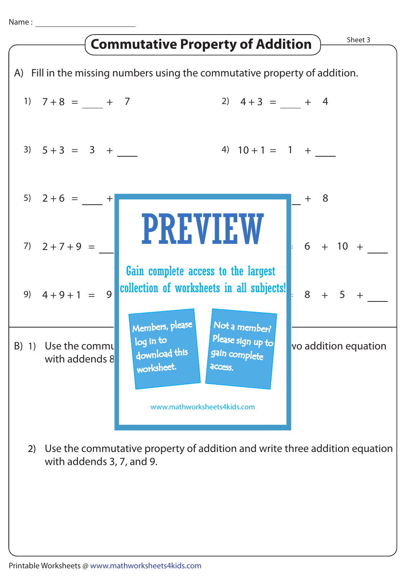